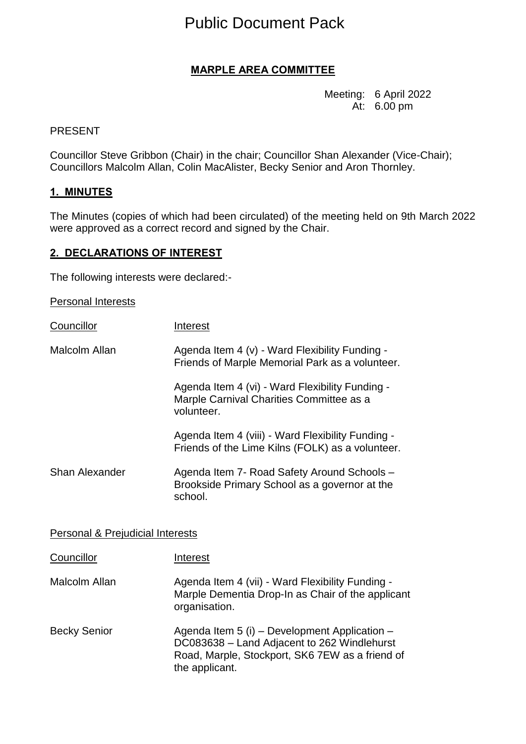# Public Document Pack

# **MARPLE AREA COMMITTEE**

Meeting: 6 April 2022 At: 6.00 pm

#### PRESENT

Councillor Steve Gribbon (Chair) in the chair; Councillor Shan Alexander (Vice-Chair); Councillors Malcolm Allan, Colin MacAlister, Becky Senior and Aron Thornley.

#### **1. MINUTES**

The Minutes (copies of which had been circulated) of the meeting held on 9th March 2022 were approved as a correct record and signed by the Chair.

#### **2. DECLARATIONS OF INTEREST**

The following interests were declared:-

Personal Interests

| Councillor            | Interest                                                                                                  |
|-----------------------|-----------------------------------------------------------------------------------------------------------|
| Malcolm Allan         | Agenda Item 4 (v) - Ward Flexibility Funding -<br>Friends of Marple Memorial Park as a volunteer.         |
|                       | Agenda Item 4 (vi) - Ward Flexibility Funding -<br>Marple Carnival Charities Committee as a<br>volunteer. |
|                       | Agenda Item 4 (viii) - Ward Flexibility Funding -<br>Friends of the Lime Kilns (FOLK) as a volunteer.     |
| <b>Shan Alexander</b> | Agenda Item 7- Road Safety Around Schools -<br>Brookside Primary School as a governor at the<br>school.   |

#### **Personal & Prejudicial Interests**

| Councillor          | Interest                                                                                                                                                          |
|---------------------|-------------------------------------------------------------------------------------------------------------------------------------------------------------------|
| Malcolm Allan       | Agenda Item 4 (vii) - Ward Flexibility Funding -<br>Marple Dementia Drop-In as Chair of the applicant<br>organisation.                                            |
| <b>Becky Senior</b> | Agenda Item 5 (i) – Development Application –<br>DC083638 - Land Adjacent to 262 Windlehurst<br>Road, Marple, Stockport, SK6 7EW as a friend of<br>the applicant. |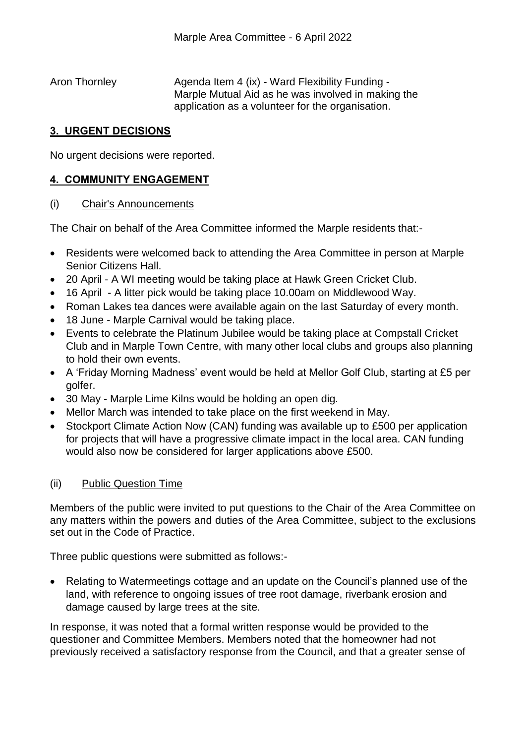Aron Thornley **Agenda Item 4 (ix) - Ward Flexibility Funding -**Marple Mutual Aid as he was involved in making the application as a volunteer for the organisation.

# **3. URGENT DECISIONS**

No urgent decisions were reported.

# **4. COMMUNITY ENGAGEMENT**

### (i) Chair's Announcements

The Chair on behalf of the Area Committee informed the Marple residents that:-

- Residents were welcomed back to attending the Area Committee in person at Marple Senior Citizens Hall.
- 20 April A WI meeting would be taking place at Hawk Green Cricket Club.
- 16 April A litter pick would be taking place 10.00am on Middlewood Way.
- Roman Lakes tea dances were available again on the last Saturday of every month.
- 18 June Marple Carnival would be taking place.
- Events to celebrate the Platinum Jubilee would be taking place at Compstall Cricket Club and in Marple Town Centre, with many other local clubs and groups also planning to hold their own events.
- A 'Friday Morning Madness' event would be held at Mellor Golf Club, starting at £5 per golfer.
- 30 May Marple Lime Kilns would be holding an open dig.
- Mellor March was intended to take place on the first weekend in May.
- Stockport Climate Action Now (CAN) funding was available up to £500 per application for projects that will have a progressive climate impact in the local area. CAN funding would also now be considered for larger applications above £500.

# (ii) Public Question Time

Members of the public were invited to put questions to the Chair of the Area Committee on any matters within the powers and duties of the Area Committee, subject to the exclusions set out in the Code of Practice.

Three public questions were submitted as follows:-

• Relating to Watermeetings cottage and an update on the Council's planned use of the land, with reference to ongoing issues of tree root damage, riverbank erosion and damage caused by large trees at the site.

In response, it was noted that a formal written response would be provided to the questioner and Committee Members. Members noted that the homeowner had not previously received a satisfactory response from the Council, and that a greater sense of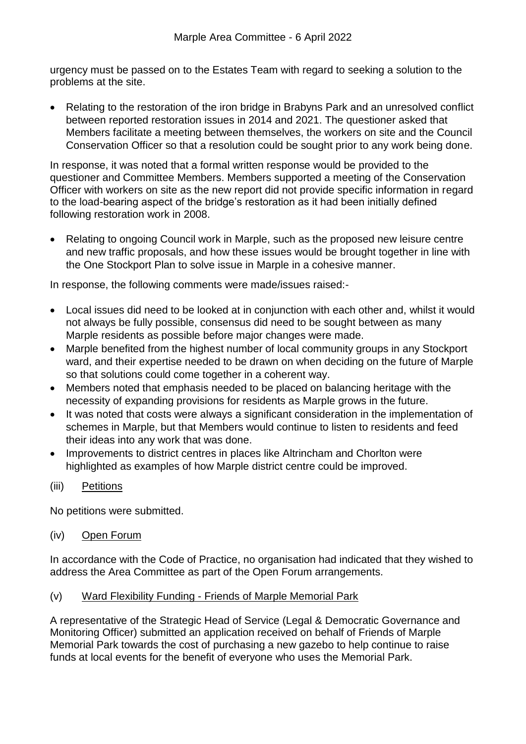urgency must be passed on to the Estates Team with regard to seeking a solution to the problems at the site.

• Relating to the restoration of the iron bridge in Brabyns Park and an unresolved conflict between reported restoration issues in 2014 and 2021. The questioner asked that Members facilitate a meeting between themselves, the workers on site and the Council Conservation Officer so that a resolution could be sought prior to any work being done.

In response, it was noted that a formal written response would be provided to the questioner and Committee Members. Members supported a meeting of the Conservation Officer with workers on site as the new report did not provide specific information in regard to the load-bearing aspect of the bridge's restoration as it had been initially defined following restoration work in 2008.

• Relating to ongoing Council work in Marple, such as the proposed new leisure centre and new traffic proposals, and how these issues would be brought together in line with the One Stockport Plan to solve issue in Marple in a cohesive manner.

In response, the following comments were made/issues raised:-

- Local issues did need to be looked at in conjunction with each other and, whilst it would not always be fully possible, consensus did need to be sought between as many Marple residents as possible before major changes were made.
- Marple benefited from the highest number of local community groups in any Stockport ward, and their expertise needed to be drawn on when deciding on the future of Marple so that solutions could come together in a coherent way.
- Members noted that emphasis needed to be placed on balancing heritage with the necessity of expanding provisions for residents as Marple grows in the future.
- It was noted that costs were always a significant consideration in the implementation of schemes in Marple, but that Members would continue to listen to residents and feed their ideas into any work that was done.
- Improvements to district centres in places like Altrincham and Chorlton were highlighted as examples of how Marple district centre could be improved.
- (iii) Petitions

No petitions were submitted.

(iv) Open Forum

In accordance with the Code of Practice, no organisation had indicated that they wished to address the Area Committee as part of the Open Forum arrangements.

(v) Ward Flexibility Funding - Friends of Marple Memorial Park

A representative of the Strategic Head of Service (Legal & Democratic Governance and Monitoring Officer) submitted an application received on behalf of Friends of Marple Memorial Park towards the cost of purchasing a new gazebo to help continue to raise funds at local events for the benefit of everyone who uses the Memorial Park.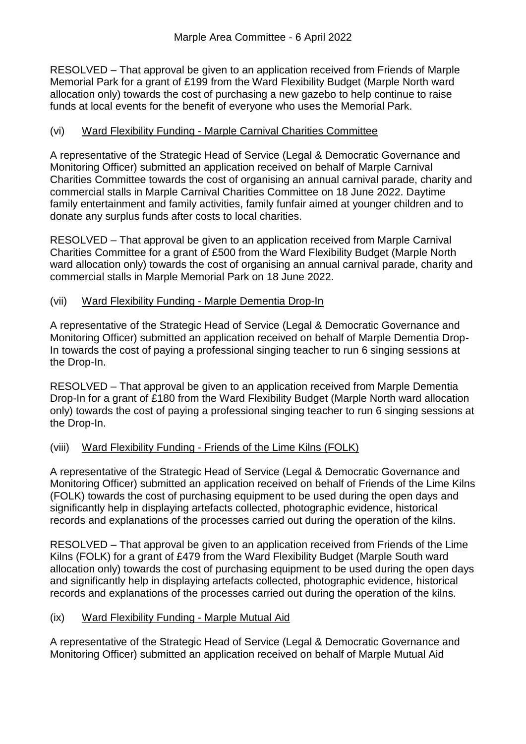RESOLVED – That approval be given to an application received from Friends of Marple Memorial Park for a grant of £199 from the Ward Flexibility Budget (Marple North ward allocation only) towards the cost of purchasing a new gazebo to help continue to raise funds at local events for the benefit of everyone who uses the Memorial Park.

# (vi) Ward Flexibility Funding - Marple Carnival Charities Committee

A representative of the Strategic Head of Service (Legal & Democratic Governance and Monitoring Officer) submitted an application received on behalf of Marple Carnival Charities Committee towards the cost of organising an annual carnival parade, charity and commercial stalls in Marple Carnival Charities Committee on 18 June 2022. Daytime family entertainment and family activities, family funfair aimed at younger children and to donate any surplus funds after costs to local charities.

RESOLVED – That approval be given to an application received from Marple Carnival Charities Committee for a grant of £500 from the Ward Flexibility Budget (Marple North ward allocation only) towards the cost of organising an annual carnival parade, charity and commercial stalls in Marple Memorial Park on 18 June 2022.

### (vii) Ward Flexibility Funding - Marple Dementia Drop-In

A representative of the Strategic Head of Service (Legal & Democratic Governance and Monitoring Officer) submitted an application received on behalf of Marple Dementia Drop-In towards the cost of paying a professional singing teacher to run 6 singing sessions at the Drop-In.

RESOLVED – That approval be given to an application received from Marple Dementia Drop-In for a grant of £180 from the Ward Flexibility Budget (Marple North ward allocation only) towards the cost of paying a professional singing teacher to run 6 singing sessions at the Drop-In.

# (viii) Ward Flexibility Funding - Friends of the Lime Kilns (FOLK)

A representative of the Strategic Head of Service (Legal & Democratic Governance and Monitoring Officer) submitted an application received on behalf of Friends of the Lime Kilns (FOLK) towards the cost of purchasing equipment to be used during the open days and significantly help in displaying artefacts collected, photographic evidence, historical records and explanations of the processes carried out during the operation of the kilns.

RESOLVED – That approval be given to an application received from Friends of the Lime Kilns (FOLK) for a grant of £479 from the Ward Flexibility Budget (Marple South ward allocation only) towards the cost of purchasing equipment to be used during the open days and significantly help in displaying artefacts collected, photographic evidence, historical records and explanations of the processes carried out during the operation of the kilns.

### (ix) Ward Flexibility Funding - Marple Mutual Aid

A representative of the Strategic Head of Service (Legal & Democratic Governance and Monitoring Officer) submitted an application received on behalf of Marple Mutual Aid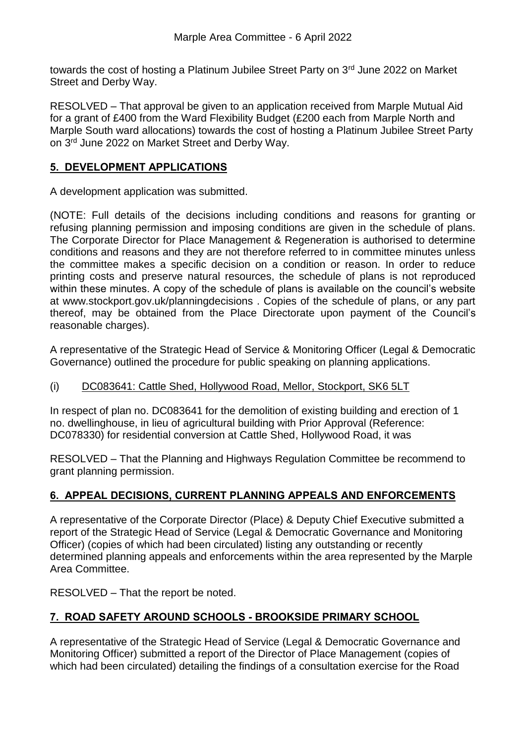towards the cost of hosting a Platinum Jubilee Street Party on 3<sup>rd</sup> June 2022 on Market Street and Derby Way.

RESOLVED – That approval be given to an application received from Marple Mutual Aid for a grant of £400 from the Ward Flexibility Budget (£200 each from Marple North and Marple South ward allocations) towards the cost of hosting a Platinum Jubilee Street Party on 3rd June 2022 on Market Street and Derby Way.

#### **5. DEVELOPMENT APPLICATIONS**

A development application was submitted.

(NOTE: Full details of the decisions including conditions and reasons for granting or refusing planning permission and imposing conditions are given in the schedule of plans. The Corporate Director for Place Management & Regeneration is authorised to determine conditions and reasons and they are not therefore referred to in committee minutes unless the committee makes a specific decision on a condition or reason. In order to reduce printing costs and preserve natural resources, the schedule of plans is not reproduced within these minutes. A copy of the schedule of plans is available on the council's website at www.stockport.gov.uk/planningdecisions . Copies of the schedule of plans, or any part thereof, may be obtained from the Place Directorate upon payment of the Council's reasonable charges).

A representative of the Strategic Head of Service & Monitoring Officer (Legal & Democratic Governance) outlined the procedure for public speaking on planning applications.

### (i) DC083641: Cattle Shed, Hollywood Road, Mellor, Stockport, SK6 5LT

In respect of plan no. DC083641 for the demolition of existing building and erection of 1 no. dwellinghouse, in lieu of agricultural building with Prior Approval (Reference: DC078330) for residential conversion at Cattle Shed, Hollywood Road, it was

RESOLVED – That the Planning and Highways Regulation Committee be recommend to grant planning permission.

### **6. APPEAL DECISIONS, CURRENT PLANNING APPEALS AND ENFORCEMENTS**

A representative of the Corporate Director (Place) & Deputy Chief Executive submitted a report of the Strategic Head of Service (Legal & Democratic Governance and Monitoring Officer) (copies of which had been circulated) listing any outstanding or recently determined planning appeals and enforcements within the area represented by the Marple Area Committee.

RESOLVED – That the report be noted.

# **7. ROAD SAFETY AROUND SCHOOLS - BROOKSIDE PRIMARY SCHOOL**

A representative of the Strategic Head of Service (Legal & Democratic Governance and Monitoring Officer) submitted a report of the Director of Place Management (copies of which had been circulated) detailing the findings of a consultation exercise for the Road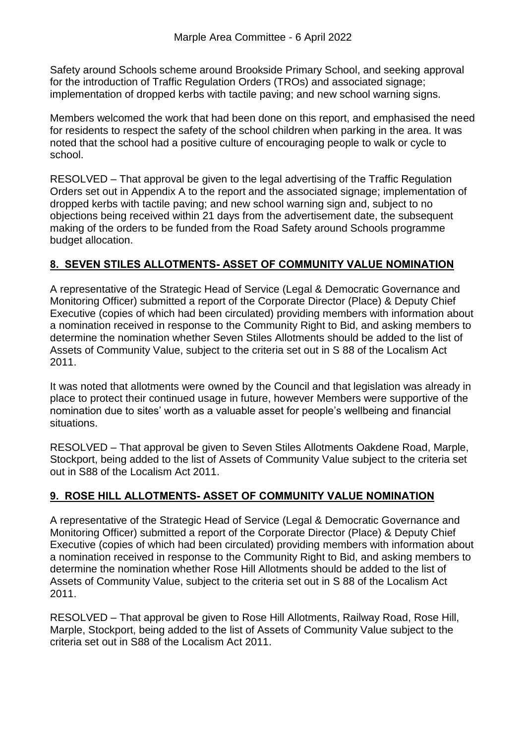Safety around Schools scheme around Brookside Primary School, and seeking approval for the introduction of Traffic Regulation Orders (TROs) and associated signage; implementation of dropped kerbs with tactile paving; and new school warning signs.

Members welcomed the work that had been done on this report, and emphasised the need for residents to respect the safety of the school children when parking in the area. It was noted that the school had a positive culture of encouraging people to walk or cycle to school.

RESOLVED – That approval be given to the legal advertising of the Traffic Regulation Orders set out in Appendix A to the report and the associated signage; implementation of dropped kerbs with tactile paving; and new school warning sign and, subject to no objections being received within 21 days from the advertisement date, the subsequent making of the orders to be funded from the Road Safety around Schools programme budget allocation.

### **8. SEVEN STILES ALLOTMENTS- ASSET OF COMMUNITY VALUE NOMINATION**

A representative of the Strategic Head of Service (Legal & Democratic Governance and Monitoring Officer) submitted a report of the Corporate Director (Place) & Deputy Chief Executive (copies of which had been circulated) providing members with information about a nomination received in response to the Community Right to Bid, and asking members to determine the nomination whether Seven Stiles Allotments should be added to the list of Assets of Community Value, subject to the criteria set out in S 88 of the Localism Act 2011.

It was noted that allotments were owned by the Council and that legislation was already in place to protect their continued usage in future, however Members were supportive of the nomination due to sites' worth as a valuable asset for people's wellbeing and financial situations.

RESOLVED – That approval be given to Seven Stiles Allotments Oakdene Road, Marple, Stockport, being added to the list of Assets of Community Value subject to the criteria set out in S88 of the Localism Act 2011.

# **9. ROSE HILL ALLOTMENTS- ASSET OF COMMUNITY VALUE NOMINATION**

A representative of the Strategic Head of Service (Legal & Democratic Governance and Monitoring Officer) submitted a report of the Corporate Director (Place) & Deputy Chief Executive (copies of which had been circulated) providing members with information about a nomination received in response to the Community Right to Bid, and asking members to determine the nomination whether Rose Hill Allotments should be added to the list of Assets of Community Value, subject to the criteria set out in S 88 of the Localism Act 2011.

RESOLVED – That approval be given to Rose Hill Allotments, Railway Road, Rose Hill, Marple, Stockport, being added to the list of Assets of Community Value subject to the criteria set out in S88 of the Localism Act 2011.